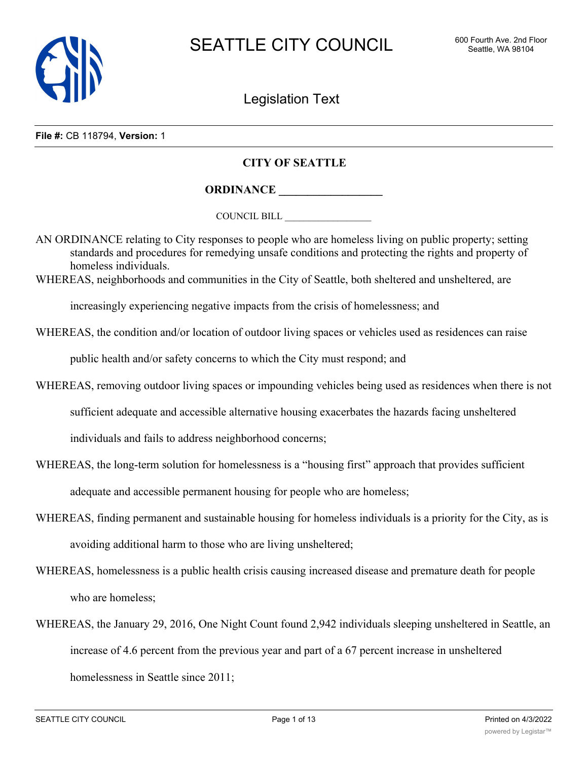

Legislation Text

#### **File #:** CB 118794, **Version:** 1

# **CITY OF SEATTLE**

**ORDINANCE \_\_\_\_\_\_\_\_\_\_\_\_\_\_\_\_\_\_**

COUNCIL BILL \_\_\_\_\_\_\_\_\_\_\_\_\_\_\_\_\_\_

AN ORDINANCE relating to City responses to people who are homeless living on public property; setting standards and procedures for remedying unsafe conditions and protecting the rights and property of homeless individuals.

WHEREAS, neighborhoods and communities in the City of Seattle, both sheltered and unsheltered, are

increasingly experiencing negative impacts from the crisis of homelessness; and

WHEREAS, the condition and/or location of outdoor living spaces or vehicles used as residences can raise

public health and/or safety concerns to which the City must respond; and

WHEREAS, removing outdoor living spaces or impounding vehicles being used as residences when there is not

sufficient adequate and accessible alternative housing exacerbates the hazards facing unsheltered

individuals and fails to address neighborhood concerns;

WHEREAS, the long-term solution for homelessness is a "housing first" approach that provides sufficient

adequate and accessible permanent housing for people who are homeless;

- WHEREAS, finding permanent and sustainable housing for homeless individuals is a priority for the City, as is avoiding additional harm to those who are living unsheltered;
- WHEREAS, homelessness is a public health crisis causing increased disease and premature death for people who are homeless;
- WHEREAS, the January 29, 2016, One Night Count found 2,942 individuals sleeping unsheltered in Seattle, an increase of 4.6 percent from the previous year and part of a 67 percent increase in unsheltered homelessness in Seattle since 2011;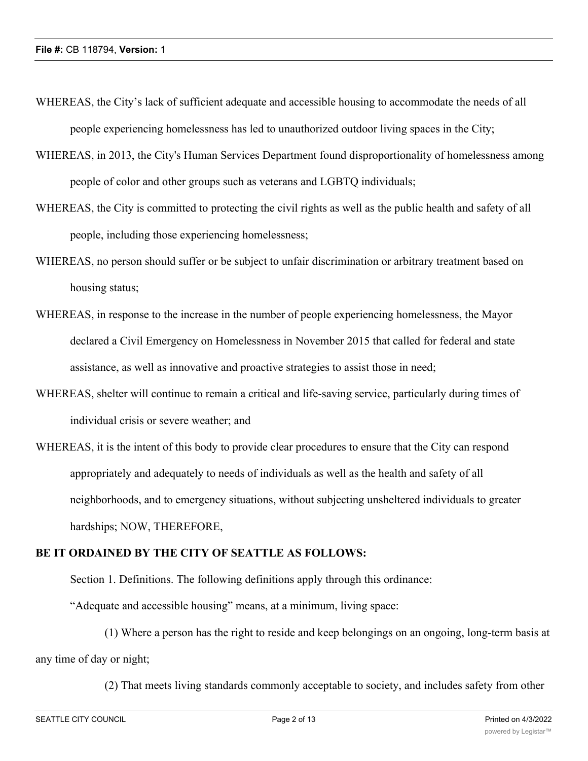- WHEREAS, the City's lack of sufficient adequate and accessible housing to accommodate the needs of all people experiencing homelessness has led to unauthorized outdoor living spaces in the City;
- WHEREAS, in 2013, the City's Human Services Department found disproportionality of homelessness among people of color and other groups such as veterans and LGBTQ individuals;
- WHEREAS, the City is committed to protecting the civil rights as well as the public health and safety of all people, including those experiencing homelessness;
- WHEREAS, no person should suffer or be subject to unfair discrimination or arbitrary treatment based on housing status;
- WHEREAS, in response to the increase in the number of people experiencing homelessness, the Mayor declared a Civil Emergency on Homelessness in November 2015 that called for federal and state assistance, as well as innovative and proactive strategies to assist those in need;
- WHEREAS, shelter will continue to remain a critical and life-saving service, particularly during times of individual crisis or severe weather; and
- WHEREAS, it is the intent of this body to provide clear procedures to ensure that the City can respond appropriately and adequately to needs of individuals as well as the health and safety of all neighborhoods, and to emergency situations, without subjecting unsheltered individuals to greater hardships; NOW, THEREFORE,

# **BE IT ORDAINED BY THE CITY OF SEATTLE AS FOLLOWS:**

Section 1. Definitions. The following definitions apply through this ordinance:

"Adequate and accessible housing" means, at a minimum, living space:

(1) Where a person has the right to reside and keep belongings on an ongoing, long-term basis at any time of day or night;

(2) That meets living standards commonly acceptable to society, and includes safety from other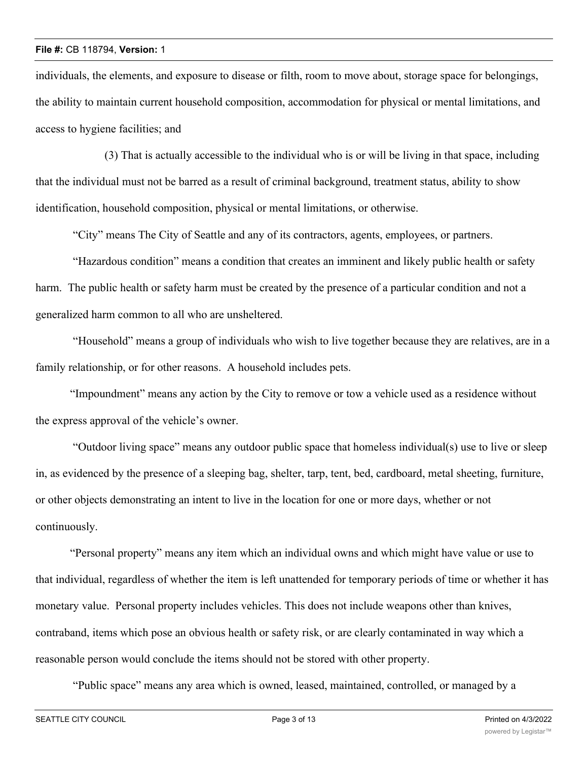individuals, the elements, and exposure to disease or filth, room to move about, storage space for belongings, the ability to maintain current household composition, accommodation for physical or mental limitations, and access to hygiene facilities; and

(3) That is actually accessible to the individual who is or will be living in that space, including that the individual must not be barred as a result of criminal background, treatment status, ability to show identification, household composition, physical or mental limitations, or otherwise.

"City" means The City of Seattle and any of its contractors, agents, employees, or partners.

 "Hazardous condition" means a condition that creates an imminent and likely public health or safety harm. The public health or safety harm must be created by the presence of a particular condition and not a generalized harm common to all who are unsheltered.

 "Household" means a group of individuals who wish to live together because they are relatives, are in a family relationship, or for other reasons. A household includes pets.

"Impoundment" means any action by the City to remove or tow a vehicle used as a residence without the express approval of the vehicle's owner.

 "Outdoor living space" means any outdoor public space that homeless individual(s) use to live or sleep in, as evidenced by the presence of a sleeping bag, shelter, tarp, tent, bed, cardboard, metal sheeting, furniture, or other objects demonstrating an intent to live in the location for one or more days, whether or not continuously.

"Personal property" means any item which an individual owns and which might have value or use to that individual, regardless of whether the item is left unattended for temporary periods of time or whether it has monetary value. Personal property includes vehicles. This does not include weapons other than knives, contraband, items which pose an obvious health or safety risk, or are clearly contaminated in way which a reasonable person would conclude the items should not be stored with other property.

"Public space" means any area which is owned, leased, maintained, controlled, or managed by a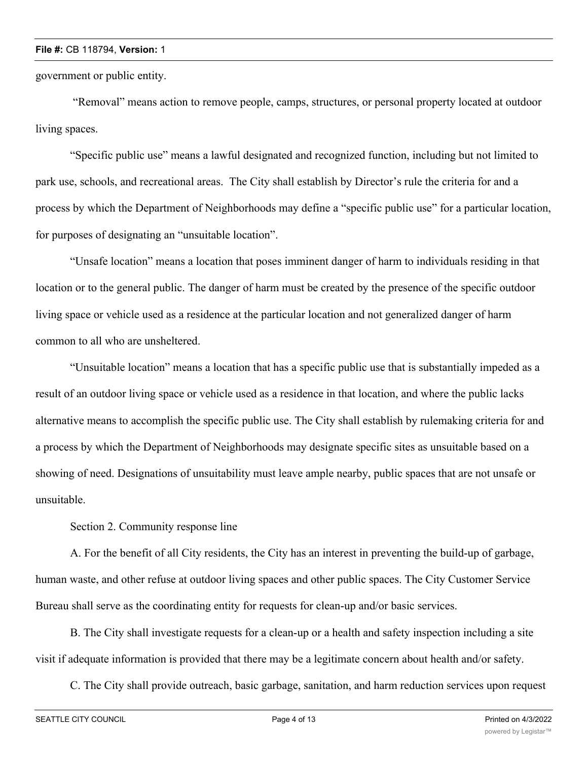government or public entity.

 "Removal" means action to remove people, camps, structures, or personal property located at outdoor living spaces.

"Specific public use" means a lawful designated and recognized function, including but not limited to park use, schools, and recreational areas. The City shall establish by Director's rule the criteria for and a process by which the Department of Neighborhoods may define a "specific public use" for a particular location, for purposes of designating an "unsuitable location".

"Unsafe location" means a location that poses imminent danger of harm to individuals residing in that location or to the general public. The danger of harm must be created by the presence of the specific outdoor living space or vehicle used as a residence at the particular location and not generalized danger of harm common to all who are unsheltered.

"Unsuitable location" means a location that has a specific public use that is substantially impeded as a result of an outdoor living space or vehicle used as a residence in that location, and where the public lacks alternative means to accomplish the specific public use. The City shall establish by rulemaking criteria for and a process by which the Department of Neighborhoods may designate specific sites as unsuitable based on a showing of need. Designations of unsuitability must leave ample nearby, public spaces that are not unsafe or unsuitable.

Section 2. Community response line

A. For the benefit of all City residents, the City has an interest in preventing the build-up of garbage, human waste, and other refuse at outdoor living spaces and other public spaces. The City Customer Service Bureau shall serve as the coordinating entity for requests for clean-up and/or basic services.

B. The City shall investigate requests for a clean-up or a health and safety inspection including a site visit if adequate information is provided that there may be a legitimate concern about health and/or safety.

C. The City shall provide outreach, basic garbage, sanitation, and harm reduction services upon request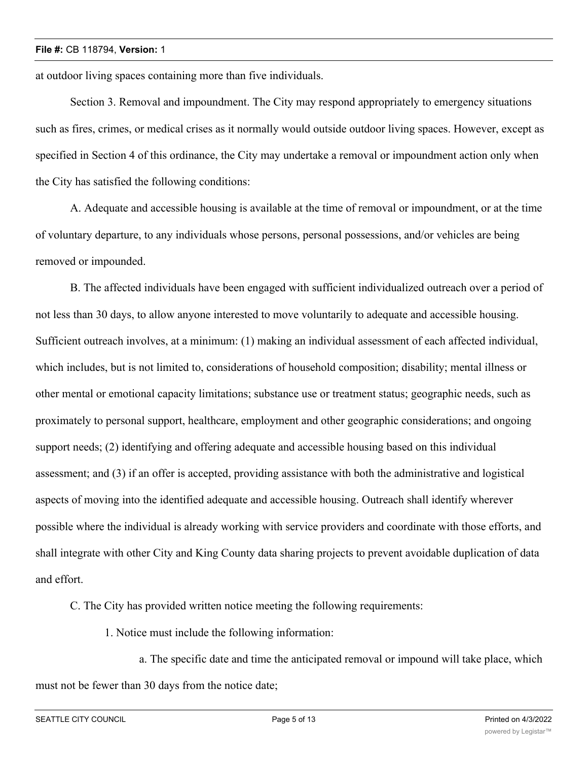at outdoor living spaces containing more than five individuals.

Section 3. Removal and impoundment. The City may respond appropriately to emergency situations such as fires, crimes, or medical crises as it normally would outside outdoor living spaces. However, except as specified in Section 4 of this ordinance, the City may undertake a removal or impoundment action only when the City has satisfied the following conditions:

A. Adequate and accessible housing is available at the time of removal or impoundment, or at the time of voluntary departure, to any individuals whose persons, personal possessions, and/or vehicles are being removed or impounded.

B. The affected individuals have been engaged with sufficient individualized outreach over a period of not less than 30 days, to allow anyone interested to move voluntarily to adequate and accessible housing. Sufficient outreach involves, at a minimum: (1) making an individual assessment of each affected individual, which includes, but is not limited to, considerations of household composition; disability; mental illness or other mental or emotional capacity limitations; substance use or treatment status; geographic needs, such as proximately to personal support, healthcare, employment and other geographic considerations; and ongoing support needs; (2) identifying and offering adequate and accessible housing based on this individual assessment; and (3) if an offer is accepted, providing assistance with both the administrative and logistical aspects of moving into the identified adequate and accessible housing. Outreach shall identify wherever possible where the individual is already working with service providers and coordinate with those efforts, and shall integrate with other City and King County data sharing projects to prevent avoidable duplication of data and effort.

C. The City has provided written notice meeting the following requirements:

1. Notice must include the following information:

a. The specific date and time the anticipated removal or impound will take place, which must not be fewer than 30 days from the notice date;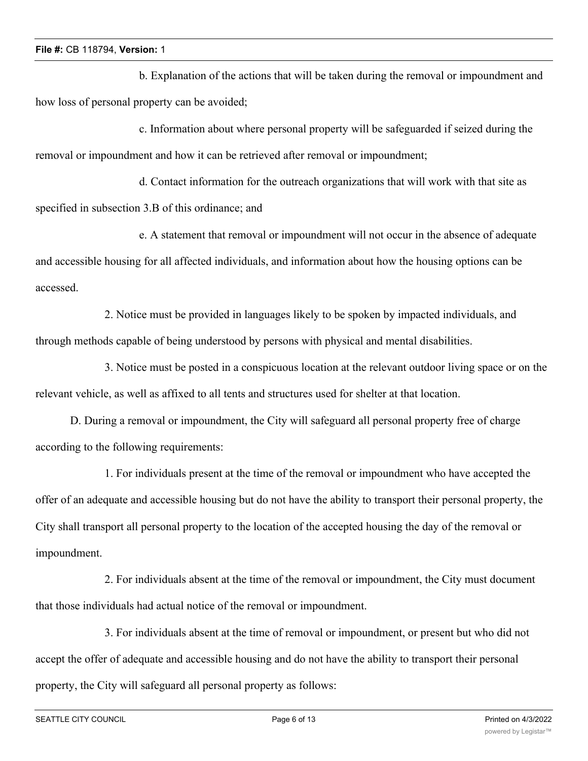b. Explanation of the actions that will be taken during the removal or impoundment and how loss of personal property can be avoided;

c. Information about where personal property will be safeguarded if seized during the removal or impoundment and how it can be retrieved after removal or impoundment;

d. Contact information for the outreach organizations that will work with that site as specified in subsection 3.B of this ordinance; and

e. A statement that removal or impoundment will not occur in the absence of adequate and accessible housing for all affected individuals, and information about how the housing options can be accessed.

2. Notice must be provided in languages likely to be spoken by impacted individuals, and through methods capable of being understood by persons with physical and mental disabilities.

3. Notice must be posted in a conspicuous location at the relevant outdoor living space or on the relevant vehicle, as well as affixed to all tents and structures used for shelter at that location.

D. During a removal or impoundment, the City will safeguard all personal property free of charge according to the following requirements:

1. For individuals present at the time of the removal or impoundment who have accepted the offer of an adequate and accessible housing but do not have the ability to transport their personal property, the City shall transport all personal property to the location of the accepted housing the day of the removal or impoundment.

2. For individuals absent at the time of the removal or impoundment, the City must document that those individuals had actual notice of the removal or impoundment.

3. For individuals absent at the time of removal or impoundment, or present but who did not accept the offer of adequate and accessible housing and do not have the ability to transport their personal property, the City will safeguard all personal property as follows: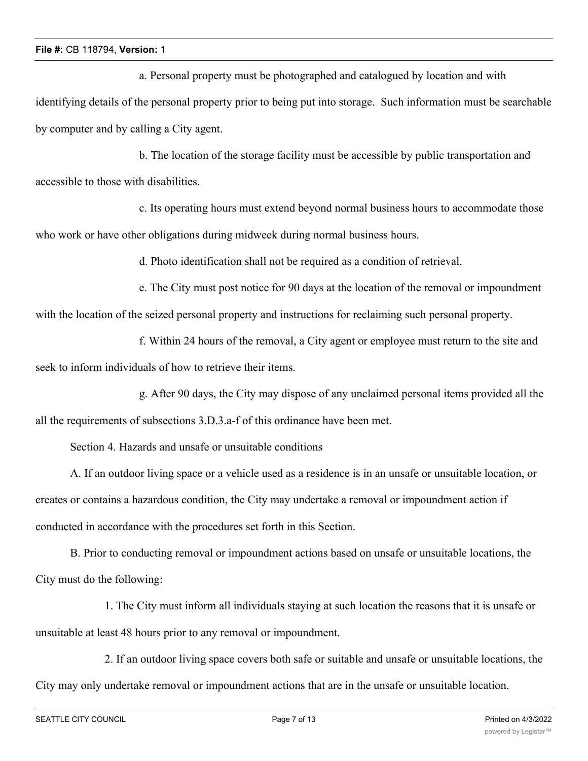a. Personal property must be photographed and catalogued by location and with identifying details of the personal property prior to being put into storage. Such information must be searchable by computer and by calling a City agent.

b. The location of the storage facility must be accessible by public transportation and accessible to those with disabilities.

c. Its operating hours must extend beyond normal business hours to accommodate those who work or have other obligations during midweek during normal business hours.

d. Photo identification shall not be required as a condition of retrieval.

e. The City must post notice for 90 days at the location of the removal or impoundment with the location of the seized personal property and instructions for reclaiming such personal property.

f. Within 24 hours of the removal, a City agent or employee must return to the site and seek to inform individuals of how to retrieve their items.

g. After 90 days, the City may dispose of any unclaimed personal items provided all the

all the requirements of subsections 3.D.3.a-f of this ordinance have been met.

Section 4. Hazards and unsafe or unsuitable conditions

A. If an outdoor living space or a vehicle used as a residence is in an unsafe or unsuitable location, or creates or contains a hazardous condition, the City may undertake a removal or impoundment action if conducted in accordance with the procedures set forth in this Section.

B. Prior to conducting removal or impoundment actions based on unsafe or unsuitable locations, the City must do the following:

1. The City must inform all individuals staying at such location the reasons that it is unsafe or unsuitable at least 48 hours prior to any removal or impoundment.

2. If an outdoor living space covers both safe or suitable and unsafe or unsuitable locations, the City may only undertake removal or impoundment actions that are in the unsafe or unsuitable location.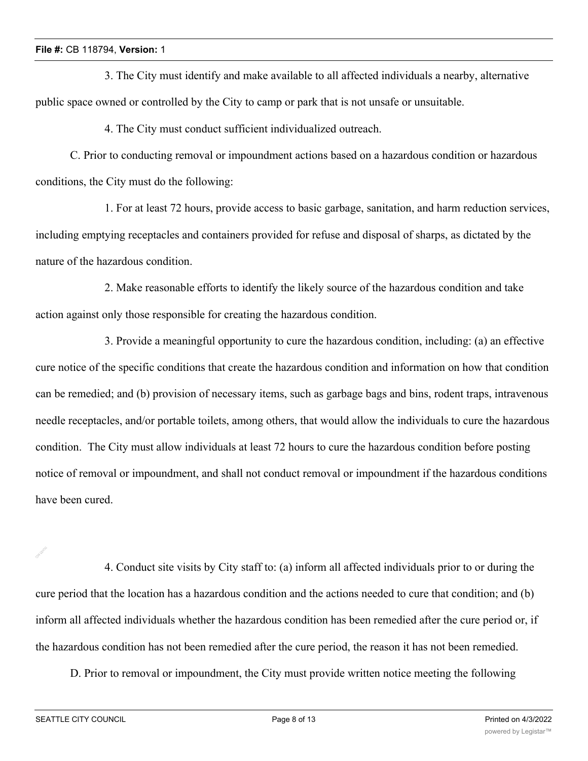3. The City must identify and make available to all affected individuals a nearby, alternative public space owned or controlled by the City to camp or park that is not unsafe or unsuitable.

4. The City must conduct sufficient individualized outreach.

C. Prior to conducting removal or impoundment actions based on a hazardous condition or hazardous conditions, the City must do the following:

1. For at least 72 hours, provide access to basic garbage, sanitation, and harm reduction services, including emptying receptacles and containers provided for refuse and disposal of sharps, as dictated by the nature of the hazardous condition.

2. Make reasonable efforts to identify the likely source of the hazardous condition and take action against only those responsible for creating the hazardous condition.

3. Provide a meaningful opportunity to cure the hazardous condition, including: (a) an effective cure notice of the specific conditions that create the hazardous condition and information on how that condition can be remedied; and (b) provision of necessary items, such as garbage bags and bins, rodent traps, intravenous needle receptacles, and/or portable toilets, among others, that would allow the individuals to cure the hazardous condition. The City must allow individuals at least 72 hours to cure the hazardous condition before posting notice of removal or impoundment, and shall not conduct removal or impoundment if the hazardous conditions have been cured.

4. Conduct site visits by City staff to: (a) inform all affected individuals prior to or during the cure period that the location has a hazardous condition and the actions needed to cure that condition; and (b) inform all affected individuals whether the hazardous condition has been remedied after the cure period or, if the hazardous condition has not been remedied after the cure period, the reason it has not been remedied.

D. Prior to removal or impoundment, the City must provide written notice meeting the following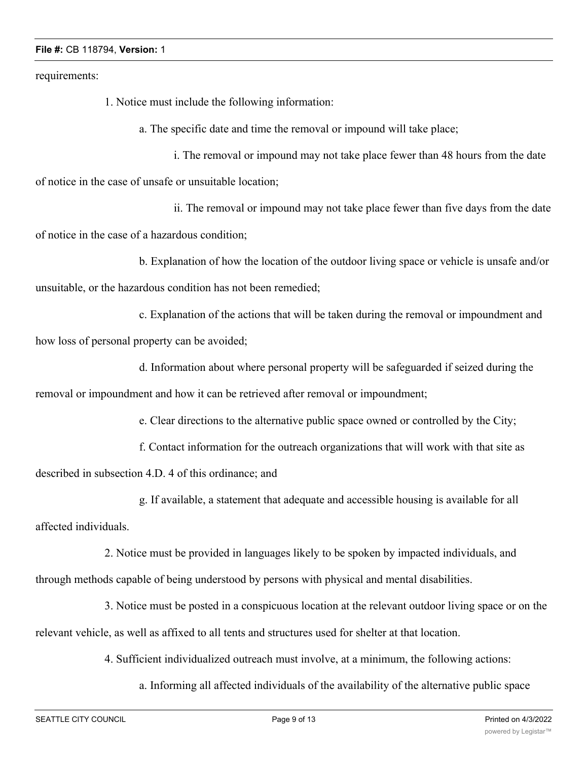requirements:

1. Notice must include the following information:

a. The specific date and time the removal or impound will take place;

i. The removal or impound may not take place fewer than 48 hours from the date of notice in the case of unsafe or unsuitable location;

ii. The removal or impound may not take place fewer than five days from the date of notice in the case of a hazardous condition;

b. Explanation of how the location of the outdoor living space or vehicle is unsafe and/or unsuitable, or the hazardous condition has not been remedied;

c. Explanation of the actions that will be taken during the removal or impoundment and how loss of personal property can be avoided;

d. Information about where personal property will be safeguarded if seized during the removal or impoundment and how it can be retrieved after removal or impoundment;

e. Clear directions to the alternative public space owned or controlled by the City;

f. Contact information for the outreach organizations that will work with that site as

described in subsection 4.D. 4 of this ordinance; and

g. If available, a statement that adequate and accessible housing is available for all

affected individuals.

2. Notice must be provided in languages likely to be spoken by impacted individuals, and through methods capable of being understood by persons with physical and mental disabilities.

3. Notice must be posted in a conspicuous location at the relevant outdoor living space or on the relevant vehicle, as well as affixed to all tents and structures used for shelter at that location.

4. Sufficient individualized outreach must involve, at a minimum, the following actions:

a. Informing all affected individuals of the availability of the alternative public space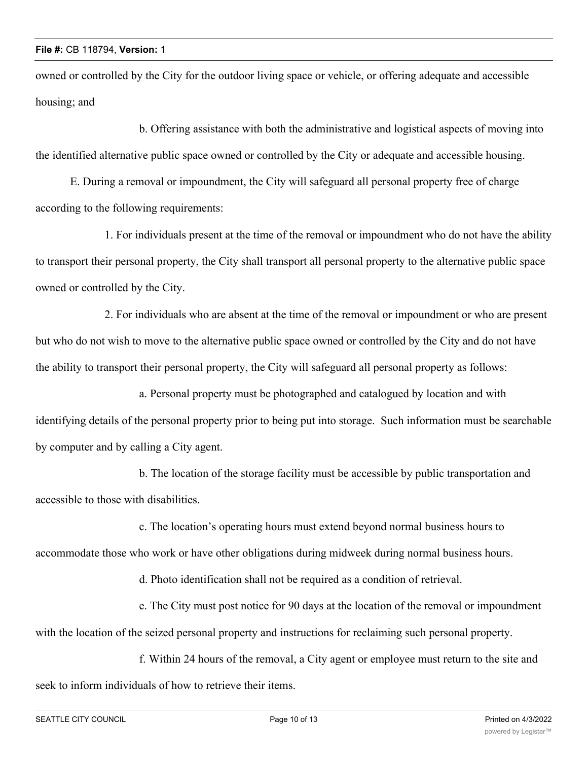owned or controlled by the City for the outdoor living space or vehicle, or offering adequate and accessible housing; and

b. Offering assistance with both the administrative and logistical aspects of moving into the identified alternative public space owned or controlled by the City or adequate and accessible housing.

E. During a removal or impoundment, the City will safeguard all personal property free of charge according to the following requirements:

1. For individuals present at the time of the removal or impoundment who do not have the ability to transport their personal property, the City shall transport all personal property to the alternative public space owned or controlled by the City.

2. For individuals who are absent at the time of the removal or impoundment or who are present but who do not wish to move to the alternative public space owned or controlled by the City and do not have the ability to transport their personal property, the City will safeguard all personal property as follows:

a. Personal property must be photographed and catalogued by location and with identifying details of the personal property prior to being put into storage. Such information must be searchable by computer and by calling a City agent.

b. The location of the storage facility must be accessible by public transportation and accessible to those with disabilities.

c. The location's operating hours must extend beyond normal business hours to accommodate those who work or have other obligations during midweek during normal business hours.

d. Photo identification shall not be required as a condition of retrieval.

e. The City must post notice for 90 days at the location of the removal or impoundment with the location of the seized personal property and instructions for reclaiming such personal property.

f. Within 24 hours of the removal, a City agent or employee must return to the site and seek to inform individuals of how to retrieve their items.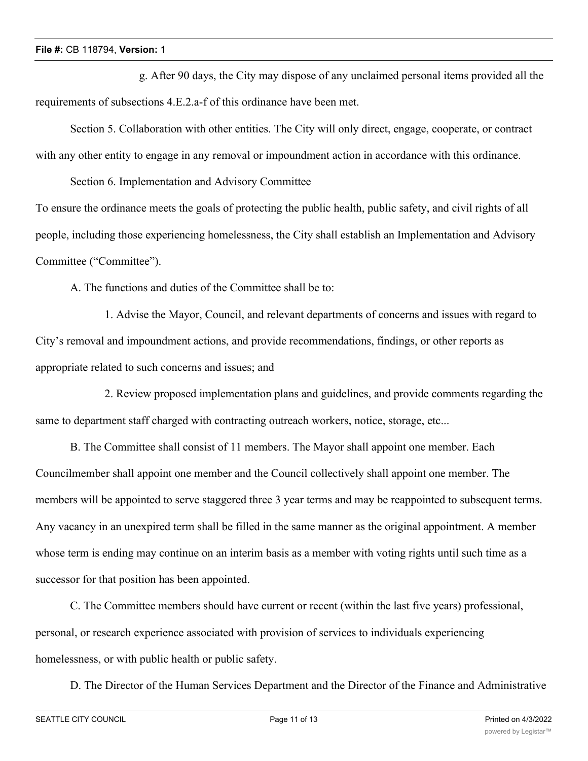g. After 90 days, the City may dispose of any unclaimed personal items provided all the requirements of subsections 4.E.2.a-f of this ordinance have been met.

Section 5. Collaboration with other entities. The City will only direct, engage, cooperate, or contract with any other entity to engage in any removal or impoundment action in accordance with this ordinance.

Section 6. Implementation and Advisory Committee

To ensure the ordinance meets the goals of protecting the public health, public safety, and civil rights of all people, including those experiencing homelessness, the City shall establish an Implementation and Advisory Committee ("Committee").

A. The functions and duties of the Committee shall be to:

1. Advise the Mayor, Council, and relevant departments of concerns and issues with regard to City's removal and impoundment actions, and provide recommendations, findings, or other reports as appropriate related to such concerns and issues; and

2. Review proposed implementation plans and guidelines, and provide comments regarding the same to department staff charged with contracting outreach workers, notice, storage, etc...

B. The Committee shall consist of 11 members. The Mayor shall appoint one member. Each Councilmember shall appoint one member and the Council collectively shall appoint one member. The members will be appointed to serve staggered three 3 year terms and may be reappointed to subsequent terms. Any vacancy in an unexpired term shall be filled in the same manner as the original appointment. A member whose term is ending may continue on an interim basis as a member with voting rights until such time as a successor for that position has been appointed.

C. The Committee members should have current or recent (within the last five years) professional, personal, or research experience associated with provision of services to individuals experiencing homelessness, or with public health or public safety.

D. The Director of the Human Services Department and the Director of the Finance and Administrative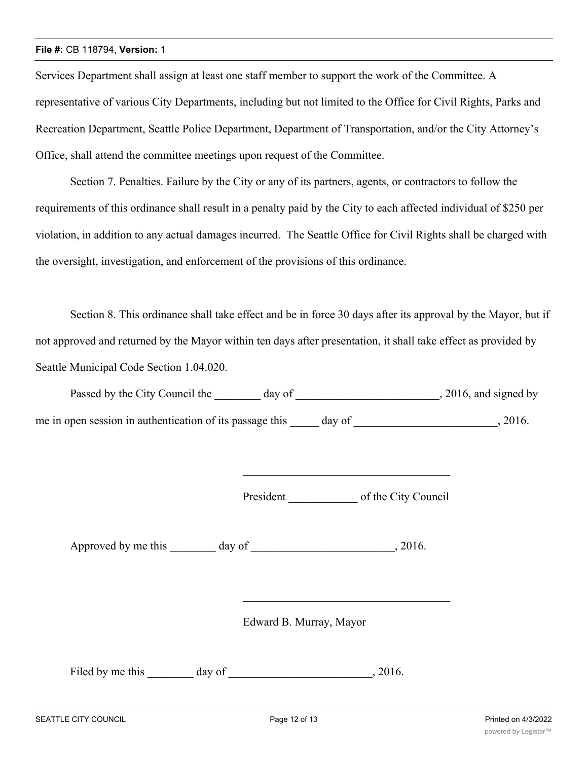Services Department shall assign at least one staff member to support the work of the Committee. A representative of various City Departments, including but not limited to the Office for Civil Rights, Parks and Recreation Department, Seattle Police Department, Department of Transportation, and/or the City Attorney's Office, shall attend the committee meetings upon request of the Committee.

Section 7. Penalties. Failure by the City or any of its partners, agents, or contractors to follow the requirements of this ordinance shall result in a penalty paid by the City to each affected individual of \$250 per violation, in addition to any actual damages incurred. The Seattle Office for Civil Rights shall be charged with the oversight, investigation, and enforcement of the provisions of this ordinance.

Section 8. This ordinance shall take effect and be in force 30 days after its approval by the Mayor, but if not approved and returned by the Mayor within ten days after presentation, it shall take effect as provided by Seattle Municipal Code Section 1.04.020.

| Passed by the City Council the                           | day of | , 2016, and signed by |
|----------------------------------------------------------|--------|-----------------------|
| me in open session in authentication of its passage this | day of | 2016.                 |

President of the City Council

\_\_\_\_\_\_\_\_\_\_\_\_\_\_\_\_\_\_\_\_\_\_\_\_\_\_\_\_\_\_\_\_\_\_\_\_

Approved by me this day of the same capacity of the same capacity of  $\alpha$ , 2016.

Edward B. Murray, Mayor

Filed by me this day of , 2016.